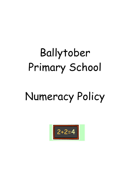# Ballytober Primary School

# Numeracy Policy

$$
\boxed{2+2=4}
$$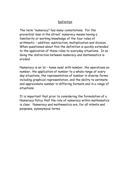## Definition

The term "numeracy" has many connotations. For the proverbial 'man in the street' numeracy means having a familiarity or working knowledge of the four rules of arithmetic – addition, subtraction, multiplication and division. When questioned about this the definition is quickly extended to the application of these rules to everyday situations. In so doing the distinction between numeracy and mathematics is eroded.

Numeracy is an 'at – home ness' with number, the operations on number, the application of number to a whole range of every day situations, the representation of number in diverse forms including graphical representation, and the ability to estimate and approximate number in differing formats and in a range of situations.

It is important that prior to considering the formulation of a Numeracy Policy that the role of numeracy within mathematics is clear. Numeracy and mathematics are, for all intents and purposes, synonymous terms.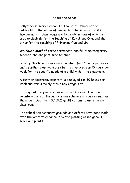## About the School

Ballytober Primary School is a small rural school on the outskirts of the village of Bushmills. The school consists of two permanent classrooms and two mobiles, one of which is used exclusively for the teaching of Key Stage One, and the other for the teaching of Primaries five and six.

We have a staff of three permanent, one full time temporary teacher, and one part-time teacher.

Primary One have a classroom assistant for 16 hours per week and a further classroom assistant is employed for 15 hours per week for the specific needs of a child within the classroom.

A further classroom assistant is employed for 20 hours per week and works mainly within Key Stage Two.

Throughout the year various individuals are employed on a voluntary basis or through various schemes or courses such as those participating in G.N.V.Q qualifications to assist in each classroom.

The school has extensive grounds and efforts have been made over the years to enhance it by the planting of indigenous trees and plants.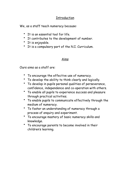## Introduction

We, as a staff teach numeracy because:

- It is an essential tool for life.
- It contributes to the development of number.
- It is enjoyable.
- It is a compulsory part of the N.I. Curriculum.

## Aims

Ours aims as a staff are:

- To encourage the effective use of numeracy.
- To develop the ability to think clearly and logically.
- To develop in pupils personal qualities of perseverance, confidence, independence and co-operation with others.
- To enable all pupils to experience success and pleasure through practical activities.
- To enable pupils to communicate effectively through the medium of numeracy.
- To foster an understanding of numeracy through a process of enquiry and experiment.
- To encourage mastery of basic numeracy skills and knowledge.
- To encourage parents to become involved in their children's learning.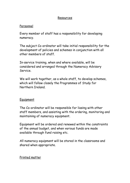#### Resources

#### Personnel

Every member of staff has a responsibility for developing numeracy.

The subject Co-ordinator will take initial responsibility for the development of policies and schemes in conjunction with all other members of staff.

In-service training, when and where available, will be considered and arranged through the Numeracy Advisory Service.

We will work together, as a whole staff, to develop schemes, which will follow closely the Programmes of Study for Northern Ireland.

#### Equipment

The Co-ordinator will be responsible for liasing with other staff members, and assisting with the ordering, monitoring and maintaining of numeracy equipment.

Equipment will be ordered and renewed within the constraints of the annual budget, and when various funds are made available through fund raising etc.

All numeracy equipment will be stored in the classrooms and shared when appropriate.

#### Printed matter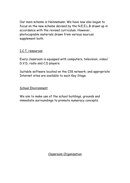Our main scheme is Heinnemann. We have now also begun to focus on the new scheme devised by the N.E.E.L.B drawn up in accordance with the revised curriculum. However, photocopiable materials drawn from various sources supplement both.

#### I.C.T. resources

Every classroom is equipped with computers, television, video/ D.V.D, radio and C.D players.

Suitable software located on the C2K network, and appropriate Internet sites are available to each Key Stage.

#### School Environment

We aim to make use of the school buildings, grounds and immediate surroundings to promote numeracy concepts.

Classroom Organisation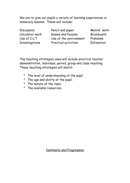We aim to give our pupils a variety of learning experiences in numeracy lessons. These will include:

Discussion Pencil and paper Mental work Calculator work Games and Puzzles Broadcasts Use of I.C.T Use of the environment Problems Investigations Practical activities Estimation

The teaching strategies used will include practical teacher demonstration, individual, paired, group and class teaching. These teaching strategies will match:

- The level of understanding of the pupil.
- The age and ability of the pupil.
- The nature of the topic.
- The available resources.

Continuity and Progression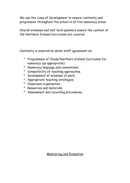We use the Lines of Development to ensure continuity and progression throughout the school in all five numeracy areas.

Overall schemes and half term planners ensure the content of the Northern Ireland Curriculum are covered.

Continuity is ensured by whole staff agreement on:

- Programmes of Study/Northern Ireland Curriculum for numeracy (as appropriate)
- Numeracy language and conventions.
- Compatibility of teaching approaches.
- Development of schemes of work.
- Appropriate teaching strategies.
- Classroom organisation.
- Resources and materials.
- Assessment and recording procedures.

Monitoring and Evaluation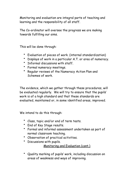Monitoring and evaluation are integral parts of teaching and learning and the responsibility of all staff.

The Co-ordinator will oversee the progress we are making towards fulfilling our aims.

This will be done through:

- Evaluation of pieces of work. (internal standardization)
- Displays of work in a particular A.T. or area of numeracy.
- Informal discussions with staff.
- Formal numeracy meetings.
- Regular reviews of the Numeracy Action Plan and Schemes of work.

The evidence, which we gather through these procedures, will be evaluated regularly. We will try to ensure that the pupils' work is of a high standard and that these standards are evaluated, maintained or, in some identified areas, improved.

We intend to do this through:

- Class, topic and/or end of term tests.
- End of Key Stage results.
- Formal and informal assessment undertaken as part of normal classroom teaching.
- Observation of practical activities.
- Discussions with pupils.

Monitoring and Evaluation (cont.)

• Quality marking of pupils' work, including discussion on areas of weakness and ways of improving.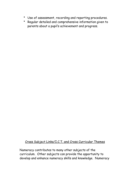- Use of assessment, recording and reporting procedures.
- Regular detailed and comprehensive information given to parents about a pupil's achievement and progress.

## Cross Subject Links/I.C.T. and Cross Curricular Themes

Numeracy contributes to many other subjects of the curriculum. Other subjects can provide the opportunity to develop and enhance numeracy skills and knowledge. Numeracy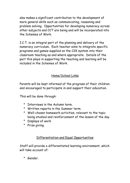also makes a significant contribution to the development of more general skills such as communicating, reasoning and problem solving. Opportunities for developing numeracy across other subjects and CCT are being and will be incorporated into the Schemes of Work.

I.C.T. is an integral part of the planning and delivery of the numeracy curriculum. Each teacher aims to integrate specific programs and games supplied on the C2K system into their classroom teaching as and where appropriate. Details of the part this plays in supporting the teaching and learning will be included in the Schemes of Work.

## Home/School Links

Parents will be kept informed of the progress of their children and encouraged to participate in and support their education.

This will be done through:

- Interviews in the Autumn term.
- Written reports in the Summer term.
- Well-chosen homework activities, relevant to the topic being studied and reinforcement of the lesson of the day.
- Displays of work
- Prize giving.

# Differentiation and Equal Opportunities

Staff will provide a differentiated learning environment, which will take account of:

• Gender.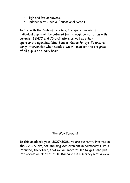- High and low achievers.
- Children with Special Educational Needs.

In line with the Code of Practice, the special needs of individual pupils will be catered for through consultation with parents, SENCO and C0-ordinators as well as other appropriate agencies. (See Special Needs Policy) To ensure early intervention when needed, we will monitor the progress of all pupils on a daily basis.

#### The Way Forward

In this academic year, 2007/2008, we are currently involved in the R.A.I.N. project. (Raising Achievement in Numeracy.) It is intended, therefore, that we will meet to set targets and put into operation plans to raise standards in numeracy with a view